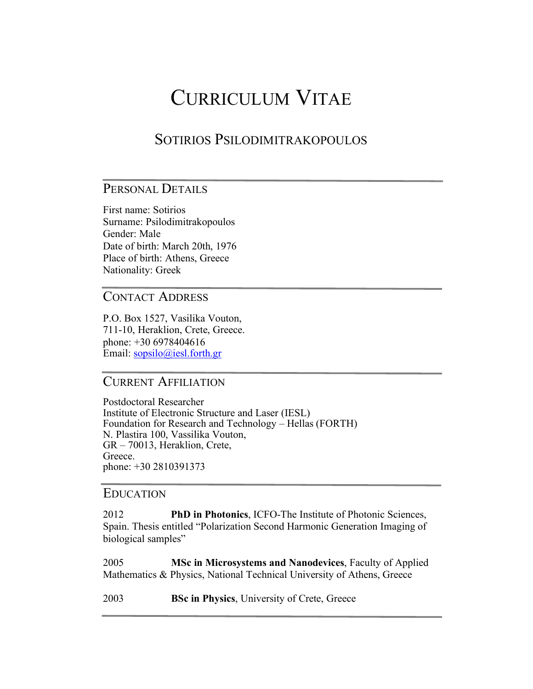# CURRICULUM VITAE

# SOTIRIOS PSILODIMITRAKOPOULOS

# PERSONAL DETAILS

First name: Sotirios Surname: Psilodimitrakopoulos Gender: Male Date of birth: March 20th, 1976 Place of birth: Athens, Greece Nationality: Greek

CONTACT ADDRESS

P.O. Box 1527, Vasilika Vouton, 711-10, Heraklion, Crete, Greece. phone: +30 6978404616 Email: sopsilo@iesl.forth.gr

## CURRENT AFFILIATION

Postdoctoral Researcher Institute of Electronic Structure and Laser (IESL) Foundation for Research and Technology – Hellas (FORTH) N. Plastira 100, Vassilika Vouton, GR – 70013, Heraklion, Crete, Greece. phone: +30 2810391373

#### EDUCATION

2012 **PhD in Photonics**, ICFO-The Institute of Photonic Sciences, Spain. Thesis entitled "Polarization Second Harmonic Generation Imaging of biological samples"

2005 **MSc in Microsystems and Nanodevices**, Faculty of Applied Mathematics & Physics, National Technical University of Athens, Greece

2003 **BSc in Physics**, University of Crete, Greece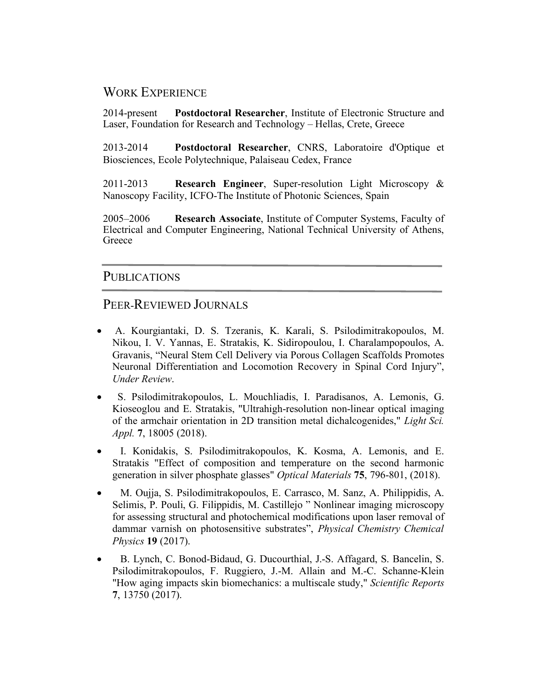## WORK EXPERIENCE

2014-present **Postdoctoral Researcher**, Institute of Electronic Structure and Laser, Foundation for Research and Technology – Hellas, Crete, Greece

2013-2014 **Postdoctoral Researcher**, CNRS, Laboratoire d'Optique et Biosciences, Ecole Polytechnique, Palaiseau Cedex, France

2011-2013 **Research Engineer**, Super-resolution Light Microscopy & Nanoscopy Facility, ICFO-The Institute of Photonic Sciences, Spain

2005–2006 **Research Associate**, Institute of Computer Systems, Faculty of Electrical and Computer Engineering, National Technical University of Athens, Greece

#### PUBLICATIONS

#### PEER-REVIEWED JOURNALS

- A. Kourgiantaki, D. S. Tzeranis, K. Karali, S. Psilodimitrakopoulos, M. Nikou, I. V. Yannas, E. Stratakis, K. Sidiropoulou, I. Charalampopoulos, A. Gravanis, "Neural Stem Cell Delivery via Porous Collagen Scaffolds Promotes Neuronal Differentiation and Locomotion Recovery in Spinal Cord Injury", *Under Review*.
- S. Psilodimitrakopoulos, L. Mouchliadis, I. Paradisanos, A. Lemonis, G. Kioseoglou and E. Stratakis, "Ultrahigh-resolution non-linear optical imaging of the armchair orientation in 2D transition metal dichalcogenides," *Light Sci. Appl.* **7**, 18005 (2018).
- I. Konidakis, S. Psilodimitrakopoulos, K. Kosma, A. Lemonis, and E. Stratakis "Effect of composition and temperature on the second harmonic generation in silver phosphate glasses" *Optical Materials* **75**, 796-801, (2018).
- M. Oujja, S. Psilodimitrakopoulos, E. Carrasco, M. Sanz, A. Philippidis, A. Selimis, P. Pouli, G. Filippidis, M. Castillejo " Nonlinear imaging microscopy for assessing structural and photochemical modifications upon laser removal of dammar varnish on photosensitive substrates", *Physical Chemistry Chemical Physics* **19** (2017).
- B. Lynch, C. Bonod-Bidaud, G. Ducourthial, J.-S. Affagard, S. Bancelin, S. Psilodimitrakopoulos, F. Ruggiero, J.-M. Allain and M.-C. Schanne-Klein "How aging impacts skin biomechanics: a multiscale study," *Scientific Reports* **7**, 13750 (2017).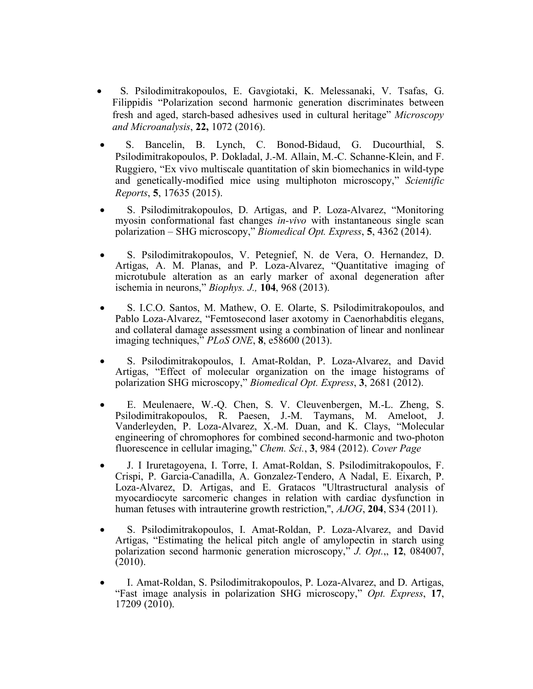- S. Psilodimitrakopoulos, E. Gavgiotaki, K. Melessanaki, V. Tsafas, G. Filippidis "Polarization second harmonic generation discriminates between fresh and aged, starch-based adhesives used in cultural heritage" *Microscopy and Microanalysis*, **22,** 1072 (2016).
- S. Bancelin, B. Lynch, C. Bonod-Bidaud, G. Ducourthial, S. Psilodimitrakopoulos, P. Dokladal, J.-M. Allain, M.-C. Schanne-Klein, and F. Ruggiero, "Ex vivo multiscale quantitation of skin biomechanics in wild-type and genetically-modified mice using multiphoton microscopy," *Scientific Reports*, **5**, 17635 (2015).
- S. Psilodimitrakopoulos, D. Artigas, and P. Loza-Alvarez, "Monitoring myosin conformational fast changes *in-vivo* with instantaneous single scan polarization – SHG microscopy," *Biomedical Opt. Express*, **5**, 4362 (2014).
- S. Psilodimitrakopoulos, V. Petegnief, N. de Vera, O. Hernandez, D. Artigas, A. M. Planas, and P. Loza-Alvarez, "Quantitative imaging of microtubule alteration as an early marker of axonal degeneration after ischemia in neurons," *Biophys. J.,* **104**, 968 (2013).
- S. I.C.O. Santos, M. Mathew, O. E. Olarte, S. Psilodimitrakopoulos, and Pablo Loza-Alvarez, "Femtosecond laser axotomy in Caenorhabditis elegans, and collateral damage assessment using a combination of linear and nonlinear imaging techniques," *PLoS ONE*, **8**, e58600 (2013).
- S. Psilodimitrakopoulos, I. Amat-Roldan, P. Loza-Alvarez, and David Artigas, "Effect of molecular organization on the image histograms of polarization SHG microscopy," *Biomedical Opt. Express*, **3**, 2681 (2012).
- E. Meulenaere, W.-Q. Chen, S. V. Cleuvenbergen, M.-L. Zheng, S. Psilodimitrakopoulos, R. Paesen, J.-M. Taymans, M. Ameloot, J. Vanderleyden, P. Loza-Alvarez, X.-M. Duan, and K. Clays, "Molecular engineering of chromophores for combined second-harmonic and two-photon fluorescence in cellular imaging," *Chem. Sci.*, **3**, 984 (2012). *Cover Page*
- J. I Iruretagoyena, I. Torre, I. Amat-Roldan, S. Psilodimitrakopoulos, F. Crispi, P. Garcia-Canadilla, A. Gonzalez-Tendero, A Nadal, E. Eixarch, P. Loza-Alvarez, D. Artigas, and E. Gratacos "Ultrastructural analysis of myocardiocyte sarcomeric changes in relation with cardiac dysfunction in human fetuses with intrauterine growth restriction,", *AJOG*, **204**, S34 (2011).
- S. Psilodimitrakopoulos, I. Amat-Roldan, P. Loza-Alvarez, and David Artigas, "Estimating the helical pitch angle of amylopectin in starch using polarization second harmonic generation microscopy," *J. Opt.*,, **12**, 084007, (2010).
- I. Amat-Roldan, S. Psilodimitrakopoulos, P. Loza-Alvarez, and D. Artigas, "Fast image analysis in polarization SHG microscopy," *Opt. Express*, **17**, 17209 (2010).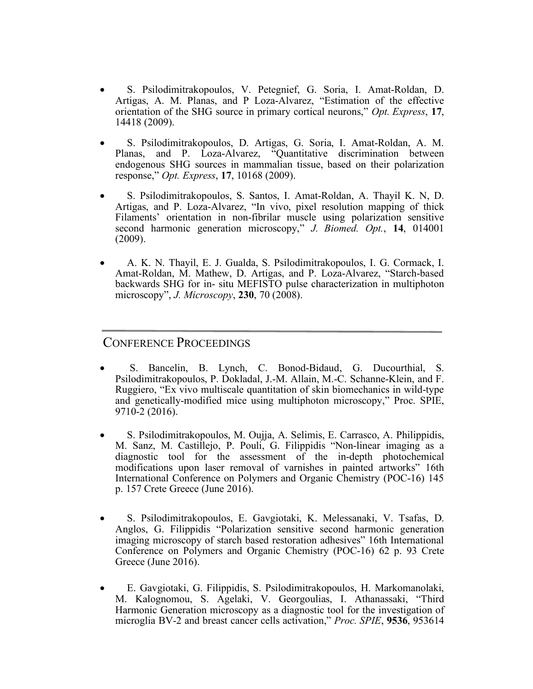- S. Psilodimitrakopoulos, V. Petegnief, G. Soria, I. Amat-Roldan, D. Artigas, A. M. Planas, and P Loza-Alvarez, "Estimation of the effective orientation of the SHG source in primary cortical neurons," *Opt. Express*, **17**, 14418 (2009).
- S. Psilodimitrakopoulos, D. Artigas, G. Soria, I. Amat-Roldan, A. M. Planas, and P. Loza-Alvarez, "Quantitative discrimination between endogenous SHG sources in mammalian tissue, based on their polarization response," *Opt. Express*, **17**, 10168 (2009).
- S. Psilodimitrakopoulos, S. Santos, I. Amat-Roldan, A. Thayil K. N, D. Artigas, and P. Loza-Alvarez, "In vivo, pixel resolution mapping of thick Filaments' orientation in non-fibrilar muscle using polarization sensitive second harmonic generation microscopy," *J. Biomed. Opt.*, **14**, 014001 (2009).
- A. K. N. Thayil, E. J. Gualda, S. Psilodimitrakopoulos, I. G. Cormack, I. Amat-Roldan, M. Mathew, D. Artigas, and P. Loza-Alvarez, "Starch-based backwards SHG for in- situ MEFISTO pulse characterization in multiphoton microscopy", *J. Microscopy*, **230**, 70 (2008).

# CONFERENCE PROCEEDINGS

- S. Bancelin, B. Lynch, C. Bonod-Bidaud, G. Ducourthial, S. Psilodimitrakopoulos, P. Dokladal, J.-M. Allain, M.-C. Schanne-Klein, and F. Ruggiero, "Ex vivo multiscale quantitation of skin biomechanics in wild-type and genetically-modified mice using multiphoton microscopy," Proc. SPIE, 9710-2 (2016).
- S. Psilodimitrakopoulos, M. Oujja, A. Selimis, E. Carrasco, A. Philippidis, M. Sanz, M. Castillejo, P. Pouli, G. Filippidis "Non-linear imaging as a diagnostic tool for the assessment of the in-depth photochemical modifications upon laser removal of varnishes in painted artworks" 16th International Conference on Polymers and Organic Chemistry (POC-16) 145 p. 157 Crete Greece (June 2016).
- S. Psilodimitrakopoulos, E. Gavgiotaki, K. Melessanaki, V. Tsafas, D. Anglos, G. Filippidis "Polarization sensitive second harmonic generation imaging microscopy of starch based restoration adhesives" 16th International Conference on Polymers and Organic Chemistry (POC-16) 62 p. 93 Crete Greece (June 2016).
- E. Gavgiotaki, G. Filippidis, S. Psilodimitrakopoulos, H. Markomanolaki, M. Kalognomou, S. Agelaki, V. Georgoulias, I. Athanassaki, "Third Harmonic Generation microscopy as a diagnostic tool for the investigation of microglia BV-2 and breast cancer cells activation," *Proc. SPIE*, **9536**, 953614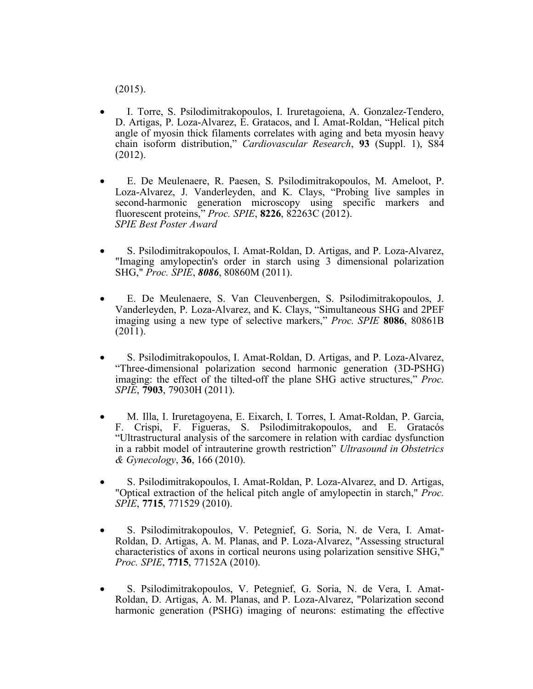(2015).

- I. Torre, S. Psilodimitrakopoulos, I. Iruretagoiena, A. Gonzalez-Tendero, D. Artigas, P. Loza-Alvarez, E. Gratacos, and I. Amat-Roldan, "Helical pitch angle of myosin thick filaments correlates with aging and beta myosin heavy chain isoform distribution," *Cardiovascular Research*, **93** (Suppl. 1), S84 (2012).
- E. De Meulenaere, R. Paesen, S. Psilodimitrakopoulos, M. Ameloot, P. Loza-Alvarez, J. Vanderleyden, and K. Clays, "Probing live samples in second-harmonic generation microscopy using specific markers and fluorescent proteins," *Proc. SPIE*, **8226**, 82263C (2012).  *SPIE Best Poster Award*
- S. Psilodimitrakopoulos, I. Amat-Roldan, D. Artigas, and P. Loza-Alvarez, "Imaging amylopectin's order in starch using 3 dimensional polarization SHG," *Proc. SPIE*, *8086*, 80860M (2011).
- E. De Meulenaere, S. Van Cleuvenbergen, S. Psilodimitrakopoulos, J. Vanderleyden, P. Loza-Alvarez, and K. Clays, "Simultaneous SHG and 2PEF imaging using a new type of selective markers," *Proc. SPIE* **8086**, 80861B (2011).
- S. Psilodimitrakopoulos, I. Amat-Roldan, D. Artigas, and P. Loza-Alvarez, "Three-dimensional polarization second harmonic generation (3D-PSHG) imaging: the effect of the tilted-off the plane SHG active structures," *Proc. SPIE*, **7903**, 79030H (2011).
- M. Illa, I. Iruretagoyena, E. Eixarch, I. Torres, I. Amat-Roldan, P. Garcia, F. Crispi, F. Figueras, S. Psilodimitrakopoulos, and E. Gratacós "Ultrastructural analysis of the sarcomere in relation with cardiac dysfunction in a rabbit model of intrauterine growth restriction" *Ultrasound in Obstetrics & Gynecology*, **36**, 166 (2010).
- S. Psilodimitrakopoulos, I. Amat-Roldan, P. Loza-Alvarez, and D. Artigas, "Optical extraction of the helical pitch angle of amylopectin in starch," *Proc. SPIE*, **7715**, 771529 (2010).
- S. Psilodimitrakopoulos, V. Petegnief, G. Soria, N. de Vera, I. Amat-Roldan, D. Artigas, A. M. Planas, and P. Loza-Alvarez, "Assessing structural characteristics of axons in cortical neurons using polarization sensitive SHG," *Proc. SPIE*, **7715**, 77152A (2010).
- S. Psilodimitrakopoulos, V. Petegnief, G. Soria, N. de Vera, I. Amat-Roldan, D. Artigas, A. M. Planas, and P. Loza-Alvarez, "Polarization second harmonic generation (PSHG) imaging of neurons: estimating the effective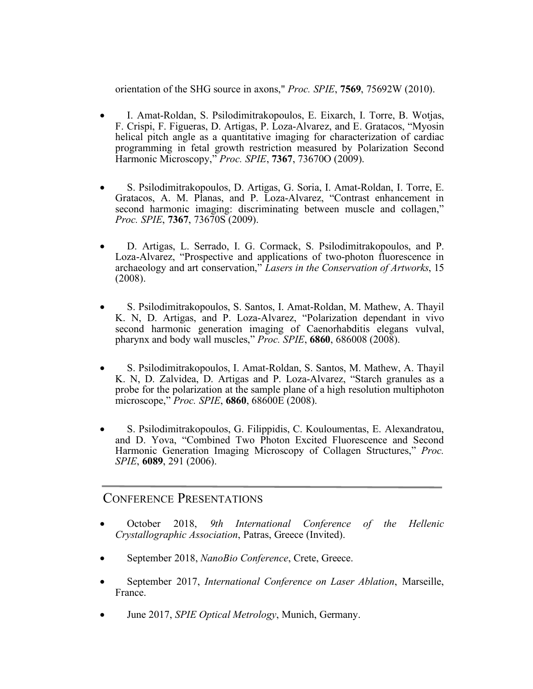orientation of the SHG source in axons," *Proc. SPIE*, **7569**, 75692W (2010).

- I. Amat-Roldan, S. Psilodimitrakopoulos, E. Eixarch, I. Torre, B. Wotjas, F. Crispi, F. Figueras, D. Artigas, P. Loza-Alvarez, and E. Gratacos, "Myosin helical pitch angle as a quantitative imaging for characterization of cardiac programming in fetal growth restriction measured by Polarization Second Harmonic Microscopy," *Proc. SPIE*, **7367**, 73670O (2009).
- S. Psilodimitrakopoulos, D. Artigas, G. Soria, I. Amat-Roldan, I. Torre, E. Gratacos, A. M. Planas, and P. Loza-Alvarez, "Contrast enhancement in second harmonic imaging: discriminating between muscle and collagen," *Proc. SPIE*, **7367**, 73670S (2009).
- D. Artigas, L. Serrado, I. G. Cormack, S. Psilodimitrakopoulos, and P. Loza-Alvarez, "Prospective and applications of two-photon fluorescence in archaeology and art conservation," *Lasers in the Conservation of Artworks*, 15 (2008).
- S. Psilodimitrakopoulos, S. Santos, I. Amat-Roldan, M. Mathew, A. Thayil K. N, D. Artigas, and P. Loza-Alvarez, "Polarization dependant in vivo second harmonic generation imaging of Caenorhabditis elegans vulval, pharynx and body wall muscles," *Proc. SPIE*, **6860**, 686008 (2008).
- S. Psilodimitrakopoulos, I. Amat-Roldan, S. Santos, M. Mathew, A. Thayil K. N, D. Zalvidea, D. Artigas and P. Loza-Alvarez, "Starch granules as a probe for the polarization at the sample plane of a high resolution multiphoton microscope," *Proc. SPIE*, **6860**, 68600E (2008).
- S. Psilodimitrakopoulos, G. Filippidis, C. Kouloumentas, E. Alexandratou, and D. Yova, "Combined Two Photon Excited Fluorescence and Second Harmonic Generation Imaging Microscopy of Collagen Structures," *Proc. SPIE*, **6089**, 291 (2006).

### CONFERENCE PRESENTATIONS

- October 2018, *9th International Conference of the Hellenic Crystallographic Association*, Patras, Greece (Invited).
- September 2018, *NanoBio Conference*, Crete, Greece.
- September 2017, *International Conference on Laser Ablation*, Marseille, France.
- June 2017, *SPIE Optical Metrology*, Munich, Germany.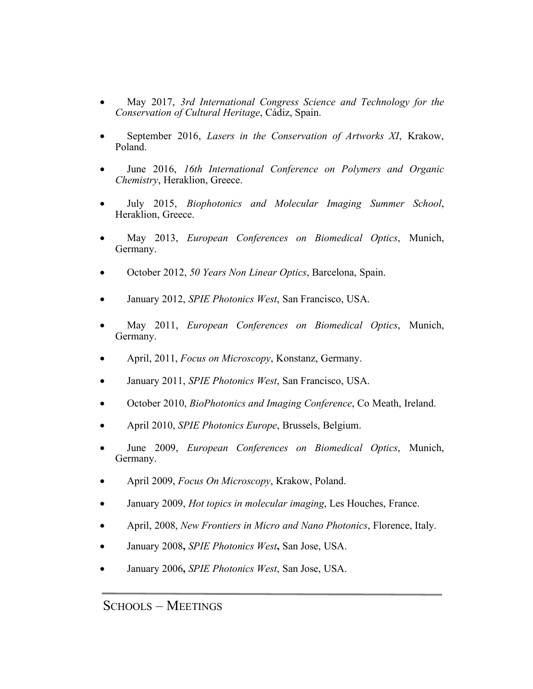- May 2017, *3rd International Congress Science and Technology for the Conservation of Cultural Heritage*, Cádiz, Spain.
- September 2016, *Lasers in the Conservation of Artworks XI*, Krakow, Poland.
- June 2016, *16th International Conference on Polymers and Organic Chemistry*, Heraklion, Greece.
- July 2015, *Biophotonics and Molecular Imaging Summer School*, Heraklion, Greece.
- May 2013, *European Conferences on Biomedical Optics*, Munich, Germany.
- October 2012, *50 Years Non Linear Optics*, Barcelona, Spain.
- January 2012, *SPIE Photonics West*, San Francisco, USA.
- May 2011, *European Conferences on Biomedical Optics*, Munich, Germany.
- April, 2011, *Focus on Microscopy*, Konstanz, Germany.
- January 2011, *SPIE Photonics West*, San Francisco, USA.
- October 2010, *BioPhotonics and Imaging Conference*, Co Meath, Ireland.
- April 2010, *SPIE Photonics Europe*, Brussels, Belgium.
- June 2009, *European Conferences on Biomedical Optics*, Munich, Germany.
- April 2009, *Focus On Microscopy*, Krakow, Poland.
- January 2009, *Hot topics in molecular imaging*, Les Houches, France.
- April, 2008, *New Frontiers in Micro and Nano Photonics*, Florence, Italy.
- January 2008**,** *SPIE Photonics West***,** San Jose, USA.
- January 2006**,** *SPIE Photonics West*, San Jose, USA.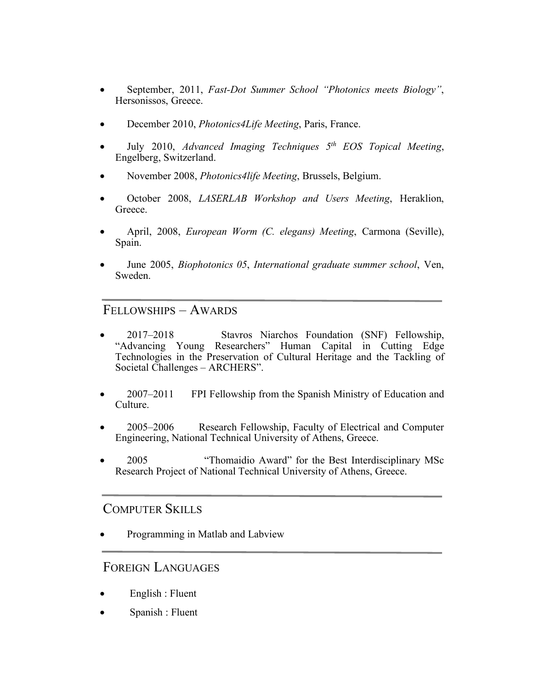- September, 2011, *Fast-Dot Summer School "Photonics meets Biology"*, Hersonissos, Greece.
- December 2010, *Photonics4Life Meeting*, Paris, France.
- July 2010, *Advanced Imaging Techniques 5th EOS Topical Meeting*, Engelberg, Switzerland.
- November 2008, *Photonics4life Meeting*, Brussels, Belgium.
- October 2008, *LASERLAB Workshop and Users Meeting*, Heraklion, Greece.
- April, 2008, *European Worm (C. elegans) Meeting*, Carmona (Seville), Spain.
- June 2005, *Biophotonics 05*, *International graduate summer school*, Ven, Sweden.

#### FELLOWSHIPS – AWARDS

- 2017–2018 Stavros Niarchos Foundation (SNF) Fellowship, "Advancing Young Researchers" Human Capital in Cutting Edge Technologies in the Preservation of Cultural Heritage and the Tackling of Societal Challenges – ARCHERS".
- 2007–2011 FPI Fellowship from the Spanish Ministry of Education and Culture.
- 2005–2006 Research Fellowship, Faculty of Electrical and Computer Engineering, National Technical University of Athens, Greece.
- 2005 "Thomaidio Award" for the Best Interdisciplinary MSc Research Project of National Technical University of Athens, Greece.

#### COMPUTER SKILLS

• Programming in Matlab and Labview

#### FOREIGN LANGUAGES

- English : Fluent
- Spanish : Fluent